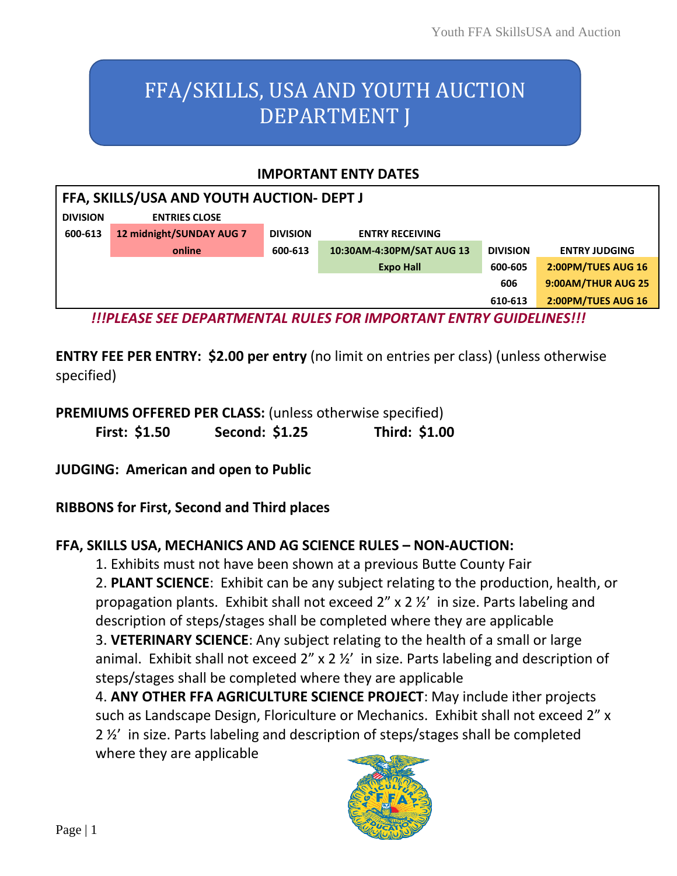# FFA/SKILLS, USA AND YOUTH AUCTION DEPARTMENT J

#### **IMPORTANT ENTY DATES**

| FFA, SKILLS/USA AND YOUTH AUCTION- DEPT J                                  |                          |                 |                           |                 |                      |  |
|----------------------------------------------------------------------------|--------------------------|-----------------|---------------------------|-----------------|----------------------|--|
| <b>DIVISION</b>                                                            | <b>ENTRIES CLOSE</b>     |                 |                           |                 |                      |  |
| 600-613                                                                    | 12 midnight/SUNDAY AUG 7 | <b>DIVISION</b> | <b>ENTRY RECEIVING</b>    |                 |                      |  |
|                                                                            | online                   | 600-613         | 10:30AM-4:30PM/SAT AUG 13 | <b>DIVISION</b> | <b>ENTRY JUDGING</b> |  |
| <b>Expo Hall</b>                                                           |                          |                 |                           | 600-605         | 2:00PM/TUES AUG 16   |  |
| 606                                                                        |                          |                 |                           |                 | 9:00AM/THUR AUG 25   |  |
|                                                                            |                          |                 |                           | 610-613         | 2:00PM/TUES AUG 16   |  |
| <u>UIDI FACE CEE DEDADTMENITAL DULEC FOD IMDODTANT ENTDV CUIDELINECIII</u> |                          |                 |                           |                 |                      |  |

*!!!PLEASE SEE DEPARTMENTAL RULES FOR IMPORTANT ENTRY GUIDELINES!!!*

**ENTRY FEE PER ENTRY: \$2.00 per entry** (no limit on entries per class) (unless otherwise specified)

**PREMIUMS OFFERED PER CLASS:** (unless otherwise specified) **First: \$1.50 Second: \$1.25 Third: \$1.00**

**JUDGING: American and open to Public**

**RIBBONS for First, Second and Third places**

## **FFA, SKILLS USA, MECHANICS AND AG SCIENCE RULES – NON-AUCTION:**

1. Exhibits must not have been shown at a previous Butte County Fair

2. **PLANT SCIENCE**: Exhibit can be any subject relating to the production, health, or propagation plants. Exhibit shall not exceed 2" x 2 ½' in size. Parts labeling and description of steps/stages shall be completed where they are applicable 3. **VETERINARY SCIENCE**: Any subject relating to the health of a small or large animal. Exhibit shall not exceed 2" x 2 ½' in size. Parts labeling and description of steps/stages shall be completed where they are applicable

4. **ANY OTHER FFA AGRICULTURE SCIENCE PROJECT**: May include ither projects such as Landscape Design, Floriculture or Mechanics. Exhibit shall not exceed 2" x 2 ½' in size. Parts labeling and description of steps/stages shall be completed where they are applicable

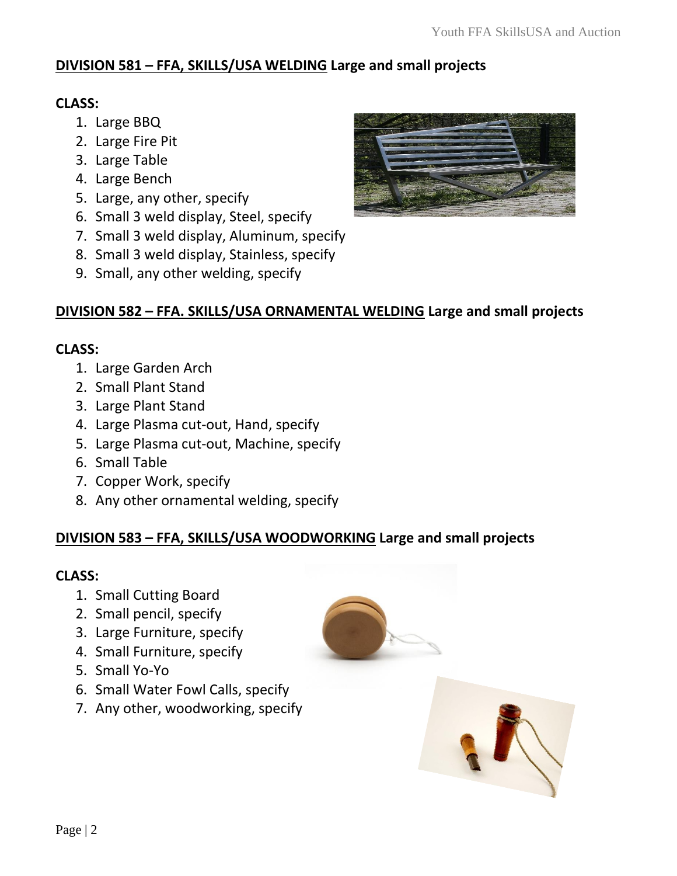## **DIVISION 581 – FFA, SKILLS/USA WELDING Large and small projects**

## **CLASS:**

- 1. Large BBQ
- 2. Large Fire Pit
- 3. Large Table
- 4. Large Bench
- 5. Large, any other, specify
- 6. Small 3 weld display, Steel, specify
- 7. Small 3 weld display, Aluminum, specify
- 8. Small 3 weld display, Stainless, specify
- 9. Small, any other welding, specify

## **DIVISION 582 – FFA. SKILLS/USA ORNAMENTAL WELDING Large and small projects**

## **CLASS:**

- 1. Large Garden Arch
- 2. Small Plant Stand
- 3. Large Plant Stand
- 4. Large Plasma cut-out, Hand, specify
- 5. Large Plasma cut-out, Machine, specify
- 6. Small Table
- 7. Copper Work, specify
- 8. Any other ornamental welding, specify

## **DIVISION 583 – FFA, SKILLS/USA WOODWORKING Large and small projects**

## **CLASS:**

- 1. Small Cutting Board
- 2. Small pencil, specify
- 3. Large Furniture, specify
- 4. Small Furniture, specify
- 5. Small Yo-Yo
- 6. Small Water Fowl Calls, specify
- 7. Any other, woodworking, specify



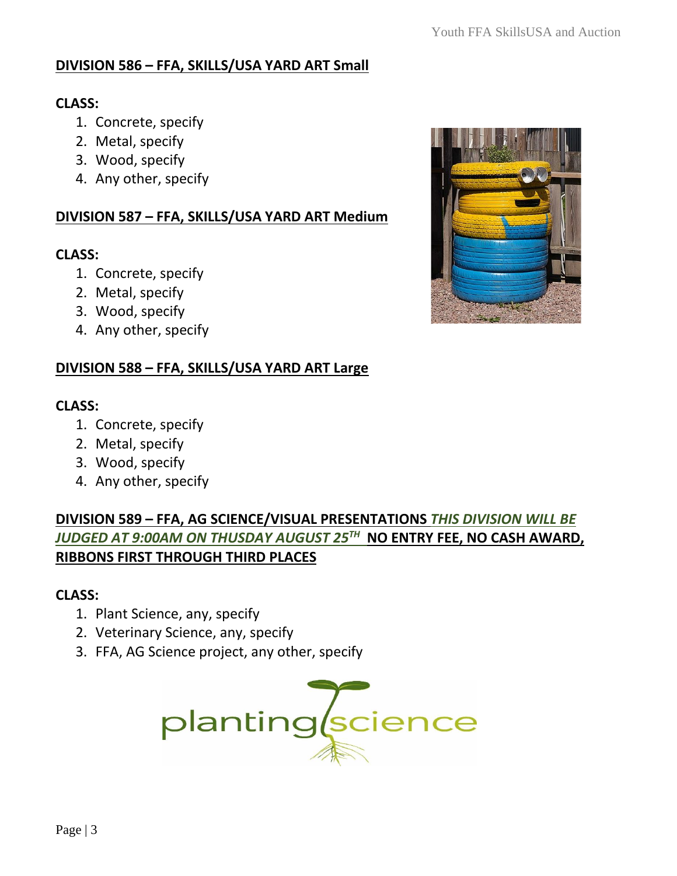## **DIVISION 586 – FFA, SKILLS/USA YARD ART Small**

#### **CLASS:**

- 1. Concrete, specify
- 2. Metal, specify
- 3. Wood, specify
- 4. Any other, specify

#### **DIVISION 587 – FFA, SKILLS/USA YARD ART Medium**

#### **CLASS:**

- 1. Concrete, specify
- 2. Metal, specify
- 3. Wood, specify
- 4. Any other, specify

## **DIVISION 588 – FFA, SKILLS/USA YARD ART Large**

#### **CLASS:**

- 1. Concrete, specify
- 2. Metal, specify
- 3. Wood, specify
- 4. Any other, specify

## **DIVISION 589 – FFA, AG SCIENCE/VISUAL PRESENTATIONS** *THIS DIVISION WILL BE JUDGED AT 9:00AM ON THUSDAY AUGUST 25TH* **NO ENTRY FEE, NO CASH AWARD, RIBBONS FIRST THROUGH THIRD PLACES**

## **CLASS:**

- 1. Plant Science, any, specify
- 2. Veterinary Science, any, specify
- 3. FFA, AG Science project, any other, specify



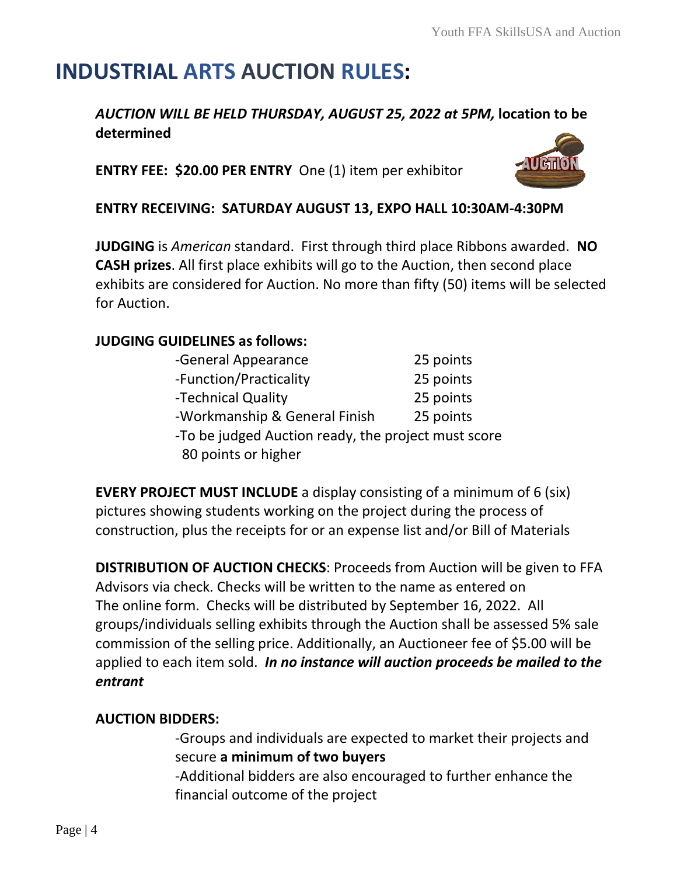# **INDUSTRIAL ARTS AUCTION RULES:**

## *AUCTION WILL BE HELD THURSDAY, AUGUST 25, 2022 at 5PM,* **location to be determined**

**ENTRY FEE: \$20.00 PER ENTRY** One (1) item per exhibitor



## **ENTRY RECEIVING: SATURDAY AUGUST 13, EXPO HALL 10:30AM-[4:30PM](https://www.pngall.com/auction-png)**

**JUDGING** is *American* standard. First through third place Ribbons [awarded.](https://creativecommons.org/licenses/by-nc/3.0/) **NO CASH prizes**. All first place exhibits will go to the Auction, then second place exhibits are considered for Auction. No more than fifty (50) items will be selected for Auction.

## **JUDGING GUIDELINES as follows:**

| -General Appearance                                 | 25 points |  |  |
|-----------------------------------------------------|-----------|--|--|
| -Function/Practicality                              | 25 points |  |  |
| -Technical Quality                                  | 25 points |  |  |
| -Workmanship & General Finish                       | 25 points |  |  |
| -To be judged Auction ready, the project must score |           |  |  |
| 80 points or higher                                 |           |  |  |

**EVERY PROJECT MUST INCLUDE** a display consisting of a minimum of 6 (six) pictures showing students working on the project during the process of construction, plus the receipts for or an expense list and/or Bill of Materials

**DISTRIBUTION OF AUCTION CHECKS**: Proceeds from Auction will be given to FFA Advisors via check. Checks will be written to the name as entered on The online form. Checks will be distributed by September 16, 2022. All groups/individuals selling exhibits through the Auction shall be assessed 5% sale commission of the selling price. Additionally, an Auctioneer fee of \$5.00 will be applied to each item sold. *In no instance will auction proceeds be mailed to the entrant*

## **AUCTION BIDDERS:**

-Groups and individuals are expected to market their projects and secure **a minimum of two buyers**

-Additional bidders are also encouraged to further enhance the financial outcome of the project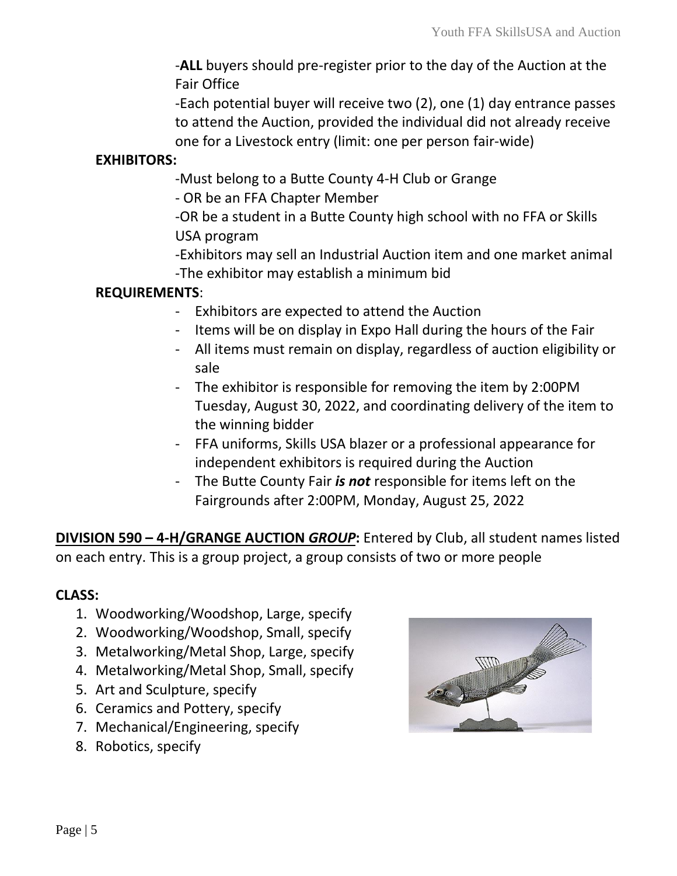-**ALL** buyers should pre-register prior to the day of the Auction at the Fair Office

-Each potential buyer will receive two (2), one (1) day entrance passes to attend the Auction, provided the individual did not already receive one for a Livestock entry (limit: one per person fair-wide)

#### **EXHIBITORS:**

-Must belong to a Butte County 4-H Club or Grange

- OR be an FFA Chapter Member

-OR be a student in a Butte County high school with no FFA or Skills USA program

-Exhibitors may sell an Industrial Auction item and one market animal -The exhibitor may establish a minimum bid

## **REQUIREMENTS**:

- Exhibitors are expected to attend the Auction
- Items will be on display in Expo Hall during the hours of the Fair
- All items must remain on display, regardless of auction eligibility or sale
- The exhibitor is responsible for removing the item by 2:00PM Tuesday, August 30, 2022, and coordinating delivery of the item to the winning bidder
- FFA uniforms, Skills USA blazer or a professional appearance for independent exhibitors is required during the Auction
- The Butte County Fair *is not* responsible for items left on the Fairgrounds after 2:00PM, Monday, August 25, 2022

**DIVISION 590 – 4-H/GRANGE AUCTION** *GROUP***:** Entered by Club, all student names listed on each entry. This is a group project, a group consists of two or more people

## **CLASS:**

- 1. Woodworking/Woodshop, Large, specify
- 2. Woodworking/Woodshop, Small, specify
- 3. Metalworking/Metal Shop, Large, specify
- 4. Metalworking/Metal Shop, Small, specify
- 5. Art and Sculpture, specify
- 6. Ceramics and Pottery, specify
- 7. Mechanical/Engineering, specify
- 8. Robotics, specify